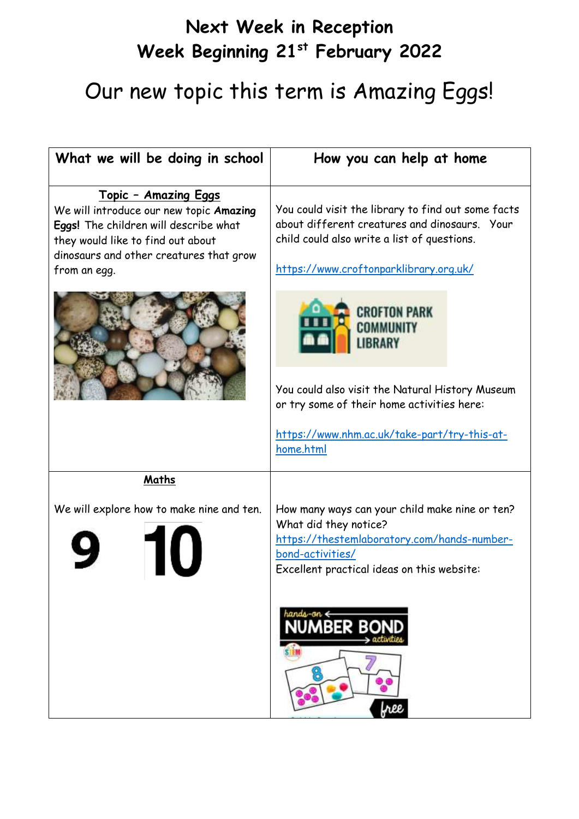## **Next Week in Reception Week Beginning 21st February 2022**

# Our new topic this term is Amazing Eggs!

| What we will be doing in school                                                                                                                                                                                  | How you can help at home                                                                                                                                                                     |
|------------------------------------------------------------------------------------------------------------------------------------------------------------------------------------------------------------------|----------------------------------------------------------------------------------------------------------------------------------------------------------------------------------------------|
| <u> Topic - Amazing Eggs</u><br>We will introduce our new topic Amazing<br>Eggs! The children will describe what<br>they would like to find out about<br>dinosaurs and other creatures that grow<br>from an egg. | You could visit the library to find out some facts<br>about different creatures and dinosaurs. Your<br>child could also write a list of questions.<br>https://www.croftonparklibrary.org.uk/ |
|                                                                                                                                                                                                                  | <b>CROFTON PARK</b><br>COMMUNITY<br><b>IBRARY</b>                                                                                                                                            |
|                                                                                                                                                                                                                  | You could also visit the Natural History Museum<br>or try some of their home activities here:                                                                                                |
|                                                                                                                                                                                                                  | https://www.nhm.ac.uk/take-part/try-this-at-<br>home.html                                                                                                                                    |
| Maths                                                                                                                                                                                                            |                                                                                                                                                                                              |
| We will explore how to make nine and ten.                                                                                                                                                                        | How many ways can your child make nine or ten?<br>What did they notice?<br>https://thestemlaboratory.com/hands-number-<br>bond-activities/<br>Excellent practical ideas on this website:     |
|                                                                                                                                                                                                                  | hands-on & <b>NUMBER BOND</b><br>> activities<br><b>STEM</b><br>ိ<br>free                                                                                                                    |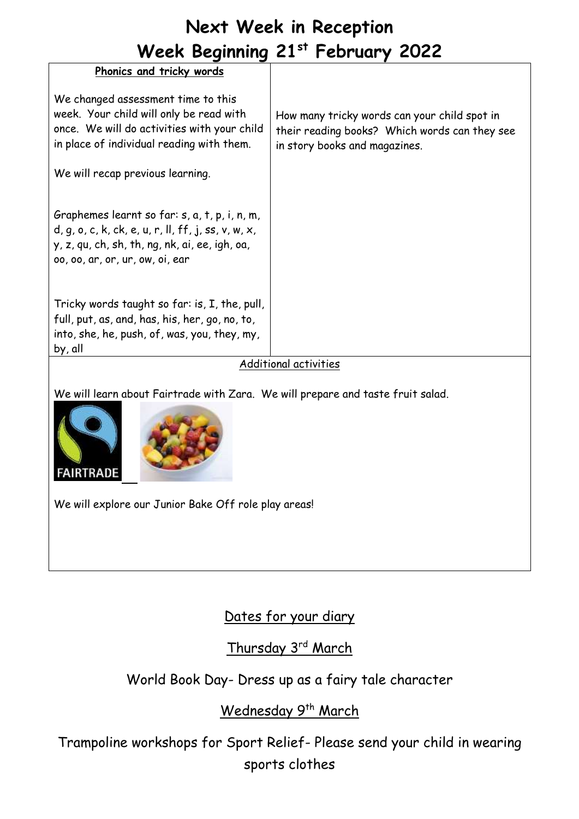### **Next Week in Reception Week Beginning 21st February 2022**

| Phonics and tricky words                                                                                                                                                                    |                                                                                                                                |
|---------------------------------------------------------------------------------------------------------------------------------------------------------------------------------------------|--------------------------------------------------------------------------------------------------------------------------------|
| We changed assessment time to this<br>week. Your child will only be read with<br>once. We will do activities with your child<br>in place of individual reading with them.                   | How many tricky words can your child spot in<br>their reading books? Which words can they see<br>in story books and magazines. |
| We will recap previous learning.                                                                                                                                                            |                                                                                                                                |
| Graphemes learnt so far: s, a, t, p, i, n, m,<br>$d, q, o, c, k, ck, e, u, r, ll, ff, j, ss, v, w, x,$<br>y, z, qu, ch, sh, th, ng, nk, ai, ee, igh, oa,<br>00, 00, ar, or, ur, ow, oi, ear |                                                                                                                                |
| Tricky words taught so far: is, I, the, pull,<br>full, put, as, and, has, his, her, go, no, to,                                                                                             |                                                                                                                                |
| into, she, he, push, of, was, you, they, my,<br>by, all                                                                                                                                     |                                                                                                                                |
| Additional activities                                                                                                                                                                       |                                                                                                                                |

We will learn about Fairtrade with Zara. We will prepare and taste fruit salad.





We will explore our Junior Bake Off role play areas!

#### Dates for your diary

Thursday 3rd March

#### World Book Day- Dress up as a fairy tale character

#### Wednesday 9<sup>th</sup> March

Trampoline workshops for Sport Relief- Please send your child in wearing sports clothes